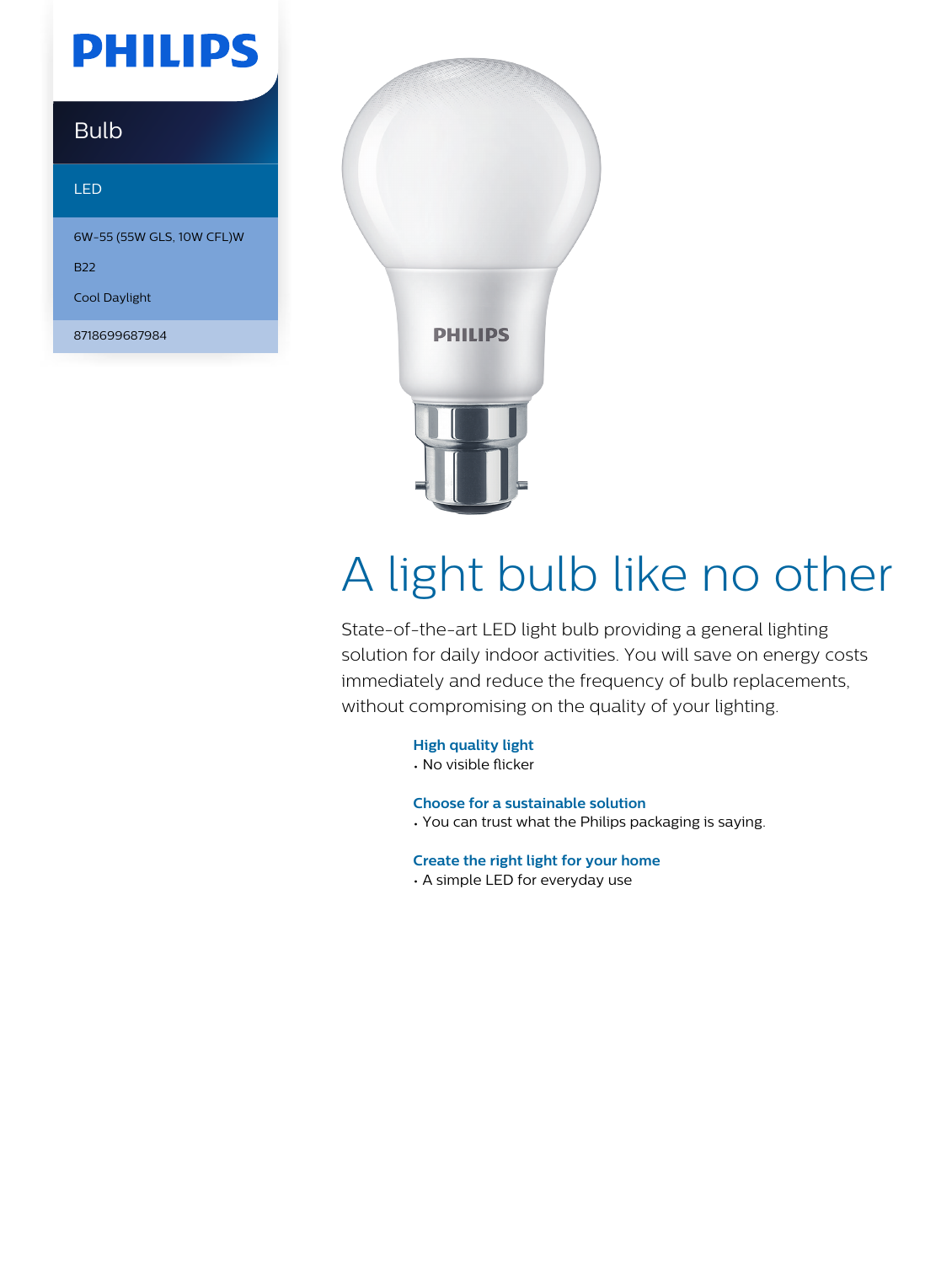## **PHILIPS**

### Bulb

#### LED

6W-55 (55W GLS, 10W CFL)W

B22

Cool Daylight

8718699687984



# A light bulb like no other

State-of-the-art LED light bulb providing a general lighting solution for daily indoor activities. You will save on energy costs immediately and reduce the frequency of bulb replacements, without compromising on the quality of your lighting.

**High quality light**

• No visible flicker

**Choose for a sustainable solution**

• You can trust what the Philips packaging is saying.

**Create the right light for your home**

• A simple LED for everyday use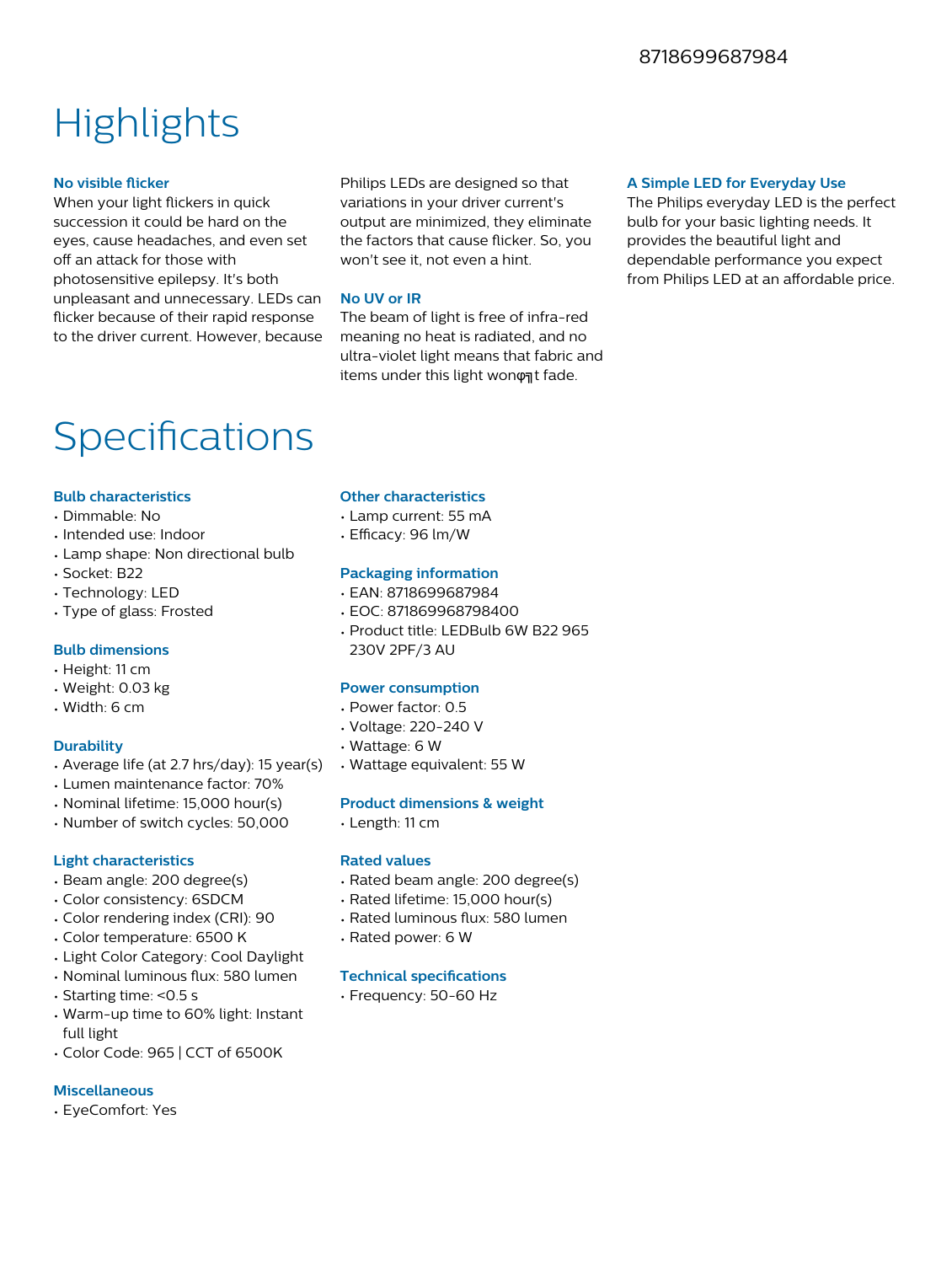### **Highlights**

#### **No visible flicker**

When your light flickers in quick succession it could be hard on the eyes, cause headaches, and even set off an attack for those with photosensitive epilepsy. It's both unpleasant and unnecessary. LEDs can flicker because of their rapid response to the driver current. However, because

Philips LEDs are designed so that variations in your driver current's output are minimized, they eliminate the factors that cause flicker. So, you won't see it, not even a hint.

#### **No UV or IR**

The beam of light is free of infra-red meaning no heat is radiated, and no ultra-violet light means that fabric and items under this light wonφηt fade.

#### **A Simple LED for Everyday Use**

The Philips everyday LED is the perfect bulb for your basic lighting needs. It provides the beautiful light and dependable performance you expect from Philips LED at an affordable price.

### Specifications

#### **Bulb characteristics**

- Dimmable: No
- Intended use: Indoor
- Lamp shape: Non directional bulb
- Socket: B22
- Technology: LED
- Type of glass: Frosted

#### **Bulb dimensions**

- Height: 11 cm
- Weight: 0.03 kg
- Width: 6 cm

#### **Durability**

- Average life (at 2.7 hrs/day): 15 year(s)
- Lumen maintenance factor: 70%
- Nominal lifetime: 15,000 hour(s)
- Number of switch cycles: 50,000

#### **Light characteristics**

- Beam angle: 200 degree(s)
- Color consistency: 6SDCM
- Color rendering index (CRI): 90
- Color temperature: 6500 K
- Light Color Category: Cool Daylight
- Nominal luminous flux: 580 lumen
- Starting time: <0.5 s
- Warm-up time to 60% light: Instant full light
- Color Code: 965 | CCT of 6500K

#### **Miscellaneous**

• EyeComfort: Yes

#### **Other characteristics**

- Lamp current: 55 mA
- $\cdot$  Efficacy: 96 lm/W

#### **Packaging information**

- EAN: 8718699687984
- EOC: 871869968798400
- Product title: LEDBulb 6W B22 965 230V 2PF/3 AU

#### **Power consumption**

- Power factor: 0.5
- Voltage: 220-240 V
- Wattage: 6 W
- Wattage equivalent: 55 W

#### **Product dimensions & weight**

• Length: 11 cm

#### **Rated values**

- Rated beam angle: 200 degree(s)
- Rated lifetime: 15,000 hour(s)
- Rated luminous flux: 580 lumen
- Rated power: 6 W

#### **Technical specifications**

• Frequency: 50-60 Hz